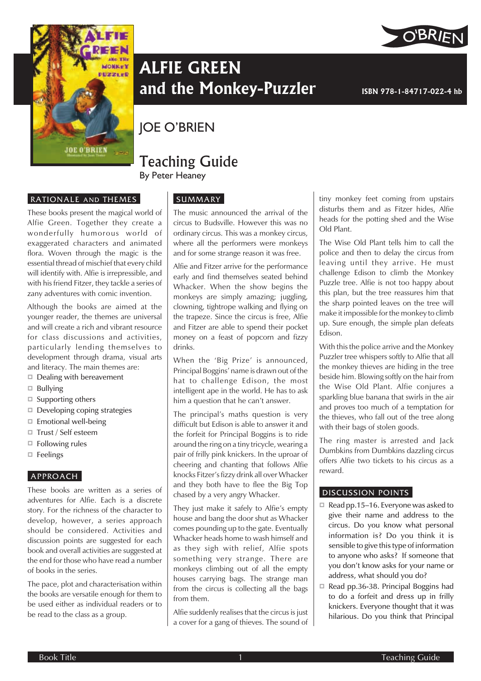



# **ALFIE GREEN** and the Monkey-Puzzler **ISBN 978-1-84717-022-4** hb

## JOE O'BRIEN

### Teaching Guide By Peter Heaney

#### RATIONALE AND THEMES

These books present the magical world of Alfie Green. Together they create a wonderfully humorous world of exaggerated characters and animated flora. Woven through the magic is the essential thread of mischief that every child will identify with. Alfie is irrepressible, and with his friend Fitzer, they tackle a series of zany adventures with comic invention.

Although the books are aimed at the younger reader, the themes are universal and will create a rich and vibrant resource for class discussions and activities, particularly lending themselves to development through drama, visual arts and literacy. The main themes are:

- $\Box$  Dealing with bereavement
- $\Box$  Bullying
- $\square$  Supporting others
- $\Box$  Developing coping strategies
- $\Box$  Emotional well-being
- □ Trust / Self esteem
- $\Box$  Following rules
- $\Box$  Feelings

#### APPROACH

These books are written as a series of adventures for Alfie. Each is a discrete story. For the richness of the character to develop, however, a series approach should be considered. Activities and discussion points are suggested for each book and overall activities are suggested at the end for those who have read a number of books in the series.

The pace, plot and characterisation within the books are versatile enough for them to be used either as individual readers or to be read to the class as a group.

#### **SUMMARY**

The music announced the arrival of the circus to Budsville. However this was no ordinary circus. This was a monkey circus, where all the performers were monkeys and for some strange reason it was free.

Alfie and Fitzer arrive for the performance early and find themselves seated behind Whacker. When the show begins the monkeys are simply amazing; juggling, clowning, tightrope walking and flying on the trapeze. Since the circus is free, Alfie and Fitzer are able to spend their pocket money on a feast of popcorn and fizzy drinks.

When the 'Big Prize' is announced, Principal Boggins' name is drawn out of the hat to challenge Edison, the most intelligent ape in the world. He has to ask him a question that he can't answer.

The principal's maths question is very difficult but Edison is able to answer it and the forfeit for Principal Boggins is to ride around the ring on a tiny tricycle, wearing a pair of frilly pink knickers. In the uproar of cheering and chanting that follows Alfie knocks Fitzer's fizzy drink all over Whacker and they both have to flee the Big Top chased by a very angry Whacker.

They just make it safely to Alfie's empty house and bang the door shut as Whacker comes pounding up to the gate. Eventually Whacker heads home to wash himself and as they sigh with relief, Alfie spots something very strange. There are monkeys climbing out of all the empty houses carrying bags. The strange man from the circus is collecting all the bags from them.

Alfie suddenly realises that the circus is just a cover for a gang of thieves. The sound of tiny monkey feet coming from upstairs disturbs them and as Fitzer hides, Alfie heads for the potting shed and the Wise Old Plant.

The Wise Old Plant tells him to call the police and then to delay the circus from leaving until they arrive. He must challenge Edison to climb the Monkey Puzzle tree. Alfie is not too happy about this plan, but the tree reassures him that the sharp pointed leaves on the tree will make it impossible for the monkey to climb up. Sure enough, the simple plan defeats Edison.

With this the police arrive and the Monkey Puzzler tree whispers softly to Alfie that all the monkey thieves are hiding in the tree beside him. Blowing softly on the hair from the Wise Old Plant. Alfie conjures a sparkling blue banana that swirls in the air and proves too much of a temptation for the thieves, who fall out of the tree along with their bags of stolen goods.

The ring master is arrested and Jack Dumbkins from Dumbkins dazzling circus offers Alfie two tickets to his circus as a reward.

#### DISCUSSION POINTS

- $\Box$  Read pp.15–16. Everyone was asked to give their name and address to the circus. Do you know what personal information is? Do you think it is sensible to give this type of information to anyone who asks? If someone that you don't know asks for your name or address, what should you do?
- Read pp.36-38. Principal Boggins had to do a forfeit and dress up in frilly knickers. Everyone thought that it was hilarious. Do you think that Principal